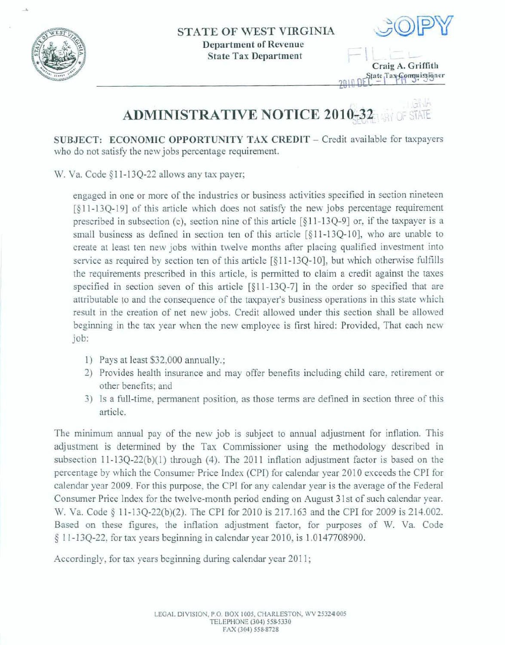

 $\mathcal{A}$ 



**I**<br> $=$  **I**<br> $\frac{1}{\text{Craig A. Griffith}}$ 

 $91.11$ **ADMINISTRATIVE NOTICE 2010-32** 

**SUBJECT: ECONOMIC OPPORTUNITY TAX CREDIT - Credit available for taxpayers who do** not **satisfy the new jabs percentage** requirement.

W. Va. **Code 9** 1 **1** - 134-22 **allows any tax payer;** 

**engaged** in **om** or more of **the industries** or **business activities specified** in **section nineteen**  [§ **1** 1 - **134- 1 91** of **this** article. **which does** not **satisfl the** new jobs **percentage** requirement **prescribed in subsection (c), section nine** of **this article** [§ 1 1- 134-91 or, if **the taxpayer is a small business** as **defined** in section **ten** of this **article** [§ **11-1** 3Q-101, **who are unable to**  create **at least ten new** jobs within **twelve months after placing qualified investment into service as** required **by** section **ten of this article** [§ 1 **1-134-** 101, but **which** otherwise **fulfills the requirements prescribed in this article,** is **permitted** to claim **o credit** against **the taxes specfied** in section **seven** of **this article** [§I **I-13Q-71** in the **order so specified that** are **attributable fo and the consequence of the tmpayer's business operations** in this **state which result** in the **creation of** net **new jobs.** Credit **allowed under this section shall be allowed**  beginning **in** .the **tax** year when **the** new **employee is** first hired: **Provided,** That **each new**  job:

- **1)** Pays at **least** \$32,008 annually,;
- 2) Provides health insurance and may offer benefits including child care, retirement or **other** benefits; and
- **3**) Is a full-time, permanent position, as those terms are defined in section three of this **article,**

The **minimum mual pay of the new** job is **subject to** annual adjustment for inflation. This adjustment is determined by the Tax Commissioner using the methodology described in subsection 11-13Q-22(b)(1) through (4). The 2011 inflation adjustment factor is based on the **percentage by which the Consumer Price Index** (CPI) for **calendar year** 2010 **exceeds** the **CPI for**  calendar **year** 2009. For **this purpose,** the **CPI** for my calenda **year** is **the** average of the **Federal**  Consumer Price **lndex for the twelve-month period ending on August 3 1** st of such calendar **year. W. Va. Code 8 12-13Q-22@)(2).** The CPI for **2010 is 217.163** and **the** CPI for 2009 **is 214.002.**  Based **on** these **figures, the inflation adjustment factor, for purposes of** W. **Va. Code**  § I **1-1** 3Q-22, **for** tax **years beginning in** calendar **year 201** 0, is 1.01 47708900.

**Accordingly,** for **tax years beginning during calendar** year 201 **1** ;